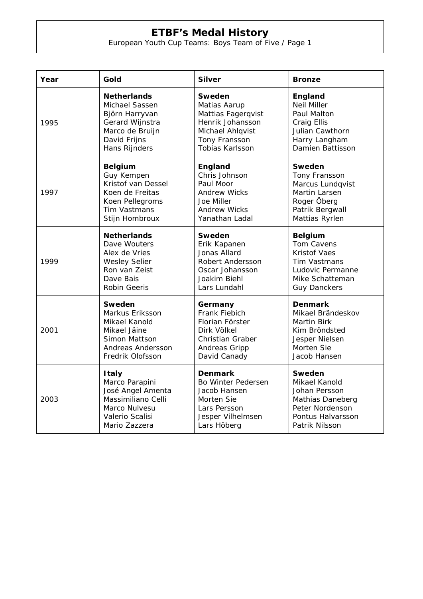## **ETBF's Medal History**

European Youth Cup Teams: Boys Team of Five / Page 1

| Year | Gold                 | <b>Silver</b>          | <b>Bronze</b>       |
|------|----------------------|------------------------|---------------------|
| 1995 | <b>Netherlands</b>   | Sweden                 | England             |
|      | Michael Sassen       | Matias Aarup           | <b>Neil Miller</b>  |
|      | Björn Harryvan       | Mattias Fagerqvist     | Paul Malton         |
|      | Gerard Wijnstra      | Henrik Johansson       | Craig Ellis         |
|      | Marco de Bruijn      | Michael Ahlqvist       | Julian Cawthorn     |
|      | David Frijns         | Tony Fransson          | Harry Langham       |
|      | Hans Rijnders        | <b>Tobias Karlsson</b> | Damien Battisson    |
| 1997 | <b>Belgium</b>       | <b>England</b>         | Sweden              |
|      | Guy Kempen           | Chris Johnson          | Tony Fransson       |
|      | Kristof van Dessel   | Paul Moor              | Marcus Lundqvist    |
|      | Koen de Freitas      | Andrew Wicks           | Martin Larsen       |
|      | Koen Pellegroms      | Joe Miller             | Roger Öberg         |
|      | <b>Tim Vastmans</b>  | <b>Andrew Wicks</b>    | Patrik Bergwall     |
|      | Stijn Hombroux       | Yanathan Ladal         | Mattias Ryrlen      |
| 1999 | <b>Netherlands</b>   | <b>Sweden</b>          | <b>Belgium</b>      |
|      | Dave Wouters         | Erik Kapanen           | Tom Cavens          |
|      | Alex de Vries        | Jonas Allard           | <b>Kristof Vaes</b> |
|      | <b>Wesley Selier</b> | Robert Andersson       | Tim Vastmans        |
|      | Ron van Zeist        | Oscar Johansson        | Ludovic Permanne    |
|      | Dave Bais            | Joakim Biehl           | Mike Schatteman     |
|      | Robin Geeris         | Lars Lundahl           | <b>Guy Danckers</b> |
| 2001 | Sweden               | Germany                | <b>Denmark</b>      |
|      | Markus Eriksson      | Frank Fiebich          | Mikael Brändeskov   |
|      | Mikael Kanold        | Florian Förster        | <b>Martin Birk</b>  |
|      | Mikael Jäine         | Dirk Völkel            | Kim Bröndsted       |
|      | Simon Mattson        | Christian Graber       | Jesper Nielsen      |
|      | Andreas Andersson    | Andreas Gripp          | Morten Sie          |
|      | Fredrik Olofsson     | David Canady           | Jacob Hansen        |
| 2003 | <b>Italy</b>         | <b>Denmark</b>         | Sweden              |
|      | Marco Parapini       | Bo Winter Pedersen     | Mikael Kanold       |
|      | José Angel Amenta    | Jacob Hansen           | Johan Persson       |
|      | Massimiliano Celli   | Morten Sie             | Mathias Daneberg    |
|      | Marco Nulvesu        | Lars Persson           | Peter Nordenson     |
|      | Valerio Scalisi      | Jesper Vilhelmsen      | Pontus Halvarsson   |
|      | Mario Zazzera        | Lars Höberg            | Patrik Nilsson      |